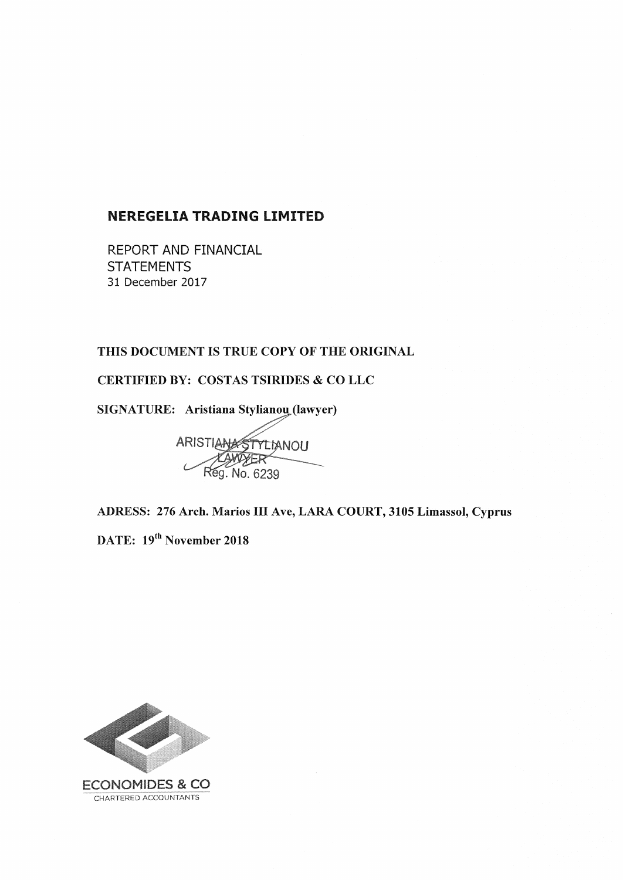REPORT AND FINANCIAL **STATEMENTS** 31 December 2017

### THIS DOCUMENT IS TRUE COPY OF THE ORIGINAL

**CERTIFIED BY: COSTAS TSIRIDES & CO LLC** 

SIGNATURE: Aristiana Stylianou (lawyer)

ARISTIANASTYLIANOU

ADRESS: 276 Arch. Marios III Ave, LARA COURT, 3105 Limassol, Cyprus

DATE: 19<sup>th</sup> November 2018

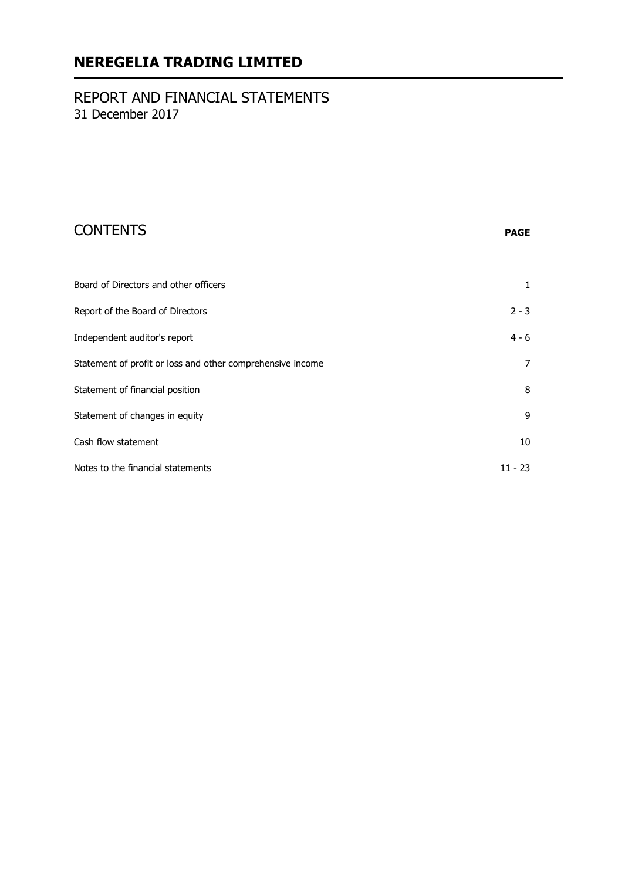### REPORT AND FINANCIAL STATEMENTS 31 December 2017

| <b>CONTENTS</b> | <b>PAGE</b> |
|-----------------|-------------|
|-----------------|-------------|

| Board of Directors and other officers                      | 1         |
|------------------------------------------------------------|-----------|
| Report of the Board of Directors                           | $2 - 3$   |
| Independent auditor's report                               | $4 - 6$   |
| Statement of profit or loss and other comprehensive income | 7         |
| Statement of financial position                            | 8         |
| Statement of changes in equity                             | 9         |
| Cash flow statement                                        | 10        |
| Notes to the financial statements                          | $11 - 23$ |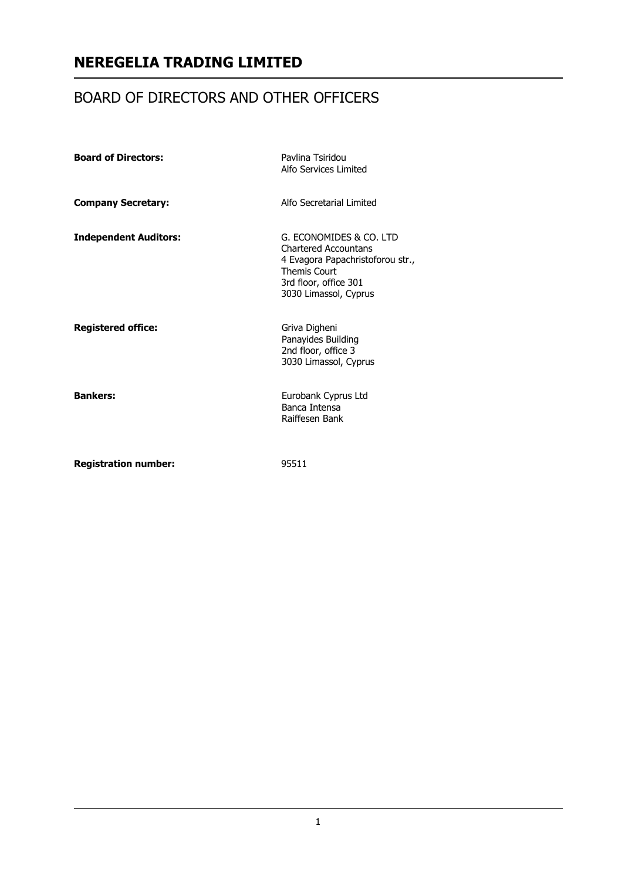## BOARD OF DIRECTORS AND OTHER OFFICERS

| <b>Board of Directors:</b>   | Pavlina Tsiridou<br>Alfo Services Limited                                                                                                                    |
|------------------------------|--------------------------------------------------------------------------------------------------------------------------------------------------------------|
| <b>Company Secretary:</b>    | Alfo Secretarial Limited                                                                                                                                     |
| <b>Independent Auditors:</b> | G. ECONOMIDES & CO. LTD<br><b>Chartered Accountans</b><br>4 Evagora Papachristoforou str.,<br>Themis Court<br>3rd floor, office 301<br>3030 Limassol, Cyprus |
| <b>Registered office:</b>    | Griva Digheni<br>Panayides Building<br>2nd floor, office 3<br>3030 Limassol, Cyprus                                                                          |
| <b>Bankers:</b>              | Eurobank Cyprus Ltd<br>Banca Intensa<br>Raiffesen Bank                                                                                                       |
| <b>Registration number:</b>  | 95511                                                                                                                                                        |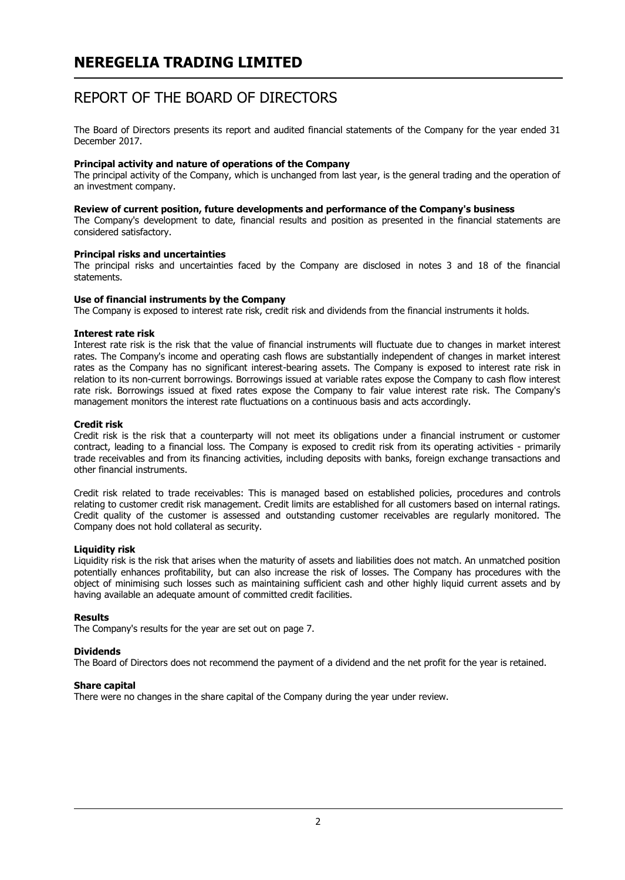## REPORT OF THE BOARD OF DIRECTORS

The Board of Directors presents its report and audited financial statements of the Company for the year ended 31 December 2017.

### **Principal activity and nature of operations of the Company**

The principal activity of the Company, which is unchanged from last year, is the general trading and the operation of an investment company.

#### **Review of current position, future developments and performance of the Company's business**

The Company's development to date, financial results and position as presented in the financial statements are considered satisfactory.

#### **Principal risks and uncertainties**

The principal risks and uncertainties faced by the Company are disclosed in notes 3 and 18 of the financial statements.

#### **Use of financial instruments by the Company**

The Company is exposed to interest rate risk, credit risk and dividends from the financial instruments it holds.

#### **Interest rate risk**

Interest rate risk is the risk that the value of financial instruments will fluctuate due to changes in market interest rates. The Company's income and operating cash flows are substantially independent of changes in market interest rates as the Company has no significant interest-bearing assets. The Company is exposed to interest rate risk in relation to its non-current borrowings. Borrowings issued at variable rates expose the Company to cash flow interest rate risk. Borrowings issued at fixed rates expose the Company to fair value interest rate risk. The Company's management monitors the interest rate fluctuations on a continuous basis and acts accordingly.

#### **Credit risk**

Credit risk is the risk that a counterparty will not meet its obligations under a financial instrument or customer contract, leading to a financial loss. The Company is exposed to credit risk from its operating activities - primarily trade receivables and from its financing activities, including deposits with banks, foreign exchange transactions and other financial instruments.

Credit risk related to trade receivables: This is managed based on established policies, procedures and controls relating to customer credit risk management. Credit limits are established for all customers based on internal ratings. Credit quality of the customer is assessed and outstanding customer receivables are regularly monitored. The Company does not hold collateral as security.

#### **Liquidity risk**

Liquidity risk is the risk that arises when the maturity of assets and liabilities does not match. An unmatched position potentially enhances profitability, but can also increase the risk of losses. The Company has procedures with the object of minimising such losses such as maintaining sufficient cash and other highly liquid current assets and by having available an adequate amount of committed credit facilities.

### **Results**

The Company's results for the year are set out on page 7.

#### **Dividends**

The Board of Directors does not recommend the payment of a dividend and the net profit for the year is retained.

#### **Share capital**

There were no changes in the share capital of the Company during the year under review.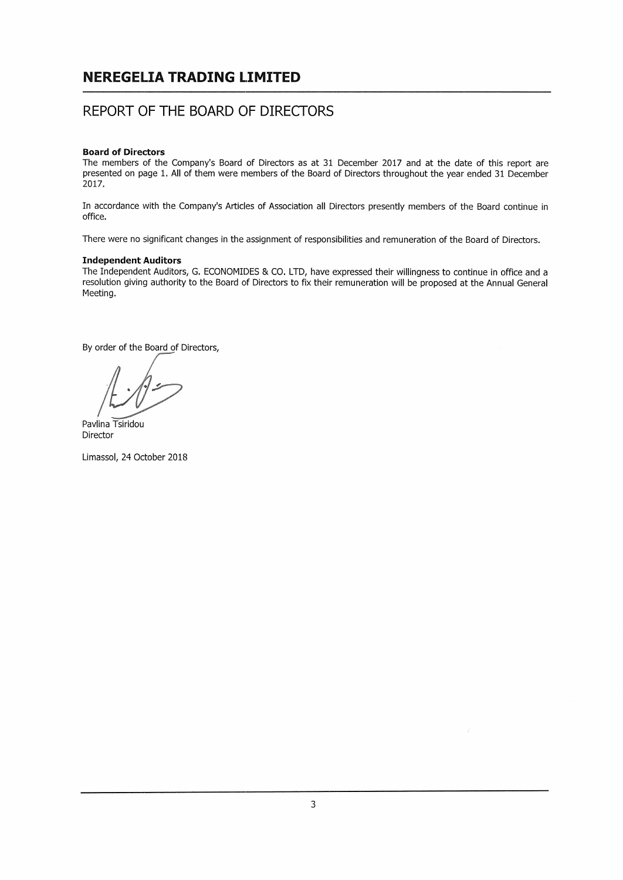### REPORT OF THE BOARD OF DIRECTORS

#### **Board of Directors**

The members of the Company's Board of Directors as at 31 December 2017 and at the date of this report are presented on page 1. All of them were members of the Board of Directors throughout the year ended 31 December 2017.

In accordance with the Company's Articles of Association all Directors presently members of the Board continue in office.

There were no significant changes in the assignment of responsibilities and remuneration of the Board of Directors.

#### **Independent Auditors**

The Independent Auditors, G. ECONOMIDES & CO. LTD, have expressed their willingness to continue in office and a resolution giving authority to the Board of Directors to fix their remuneration will be proposed at the Annual General Meeting.

By order of the Board of Directors,

Pavlina Tsiridou Director

Limassol, 24 October 2018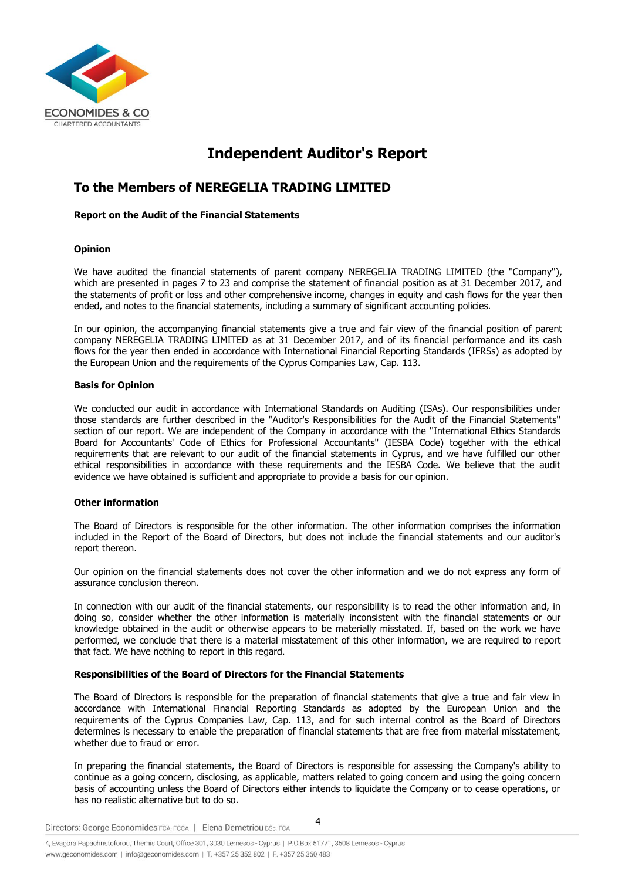

## **Independent Auditor's Report**

### **To the Members of NEREGELIA TRADING LIMITED**

### **Report on the Audit of the Financial Statements**

### **Opinion**

We have audited the financial statements of parent company NEREGELIA TRADING LIMITED (the ''Company''), which are presented in pages 7 to 23 and comprise the statement of financial position as at 31 December 2017, and the statements of profit or loss and other comprehensive income, changes in equity and cash flows for the year then ended, and notes to the financial statements, including a summary of significant accounting policies.

In our opinion, the accompanying financial statements give a true and fair view of the financial position of parent company NEREGELIA TRADING LIMITED as at 31 December 2017, and of its financial performance and its cash flows for the year then ended in accordance with International Financial Reporting Standards (IFRSs) as adopted by the European Union and the requirements of the Cyprus Companies Law, Cap. 113.

### **Basis for Opinion**

We conducted our audit in accordance with International Standards on Auditing (ISAs). Our responsibilities under those standards are further described in the ''Auditor's Responsibilities for the Audit of the Financial Statements'' section of our report. We are independent of the Company in accordance with the ''International Ethics Standards Board for Accountants' Code of Ethics for Professional Accountants'' (IESBA Code) together with the ethical requirements that are relevant to our audit of the financial statements in Cyprus, and we have fulfilled our other ethical responsibilities in accordance with these requirements and the IESBA Code. We believe that the audit evidence we have obtained is sufficient and appropriate to provide a basis for our opinion.

### **Other information**

The Board of Directors is responsible for the other information. The other information comprises the information included in the Report of the Board of Directors, but does not include the financial statements and our auditor's report thereon.

Our opinion on the financial statements does not cover the other information and we do not express any form of assurance conclusion thereon.

In connection with our audit of the financial statements, our responsibility is to read the other information and, in doing so, consider whether the other information is materially inconsistent with the financial statements or our knowledge obtained in the audit or otherwise appears to be materially misstated. If, based on the work we have performed, we conclude that there is a material misstatement of this other information, we are required to report that fact. We have nothing to report in this regard.

### **Responsibilities of the Board of Directors for the Financial Statements**

The Board of Directors is responsible for the preparation of financial statements that give a true and fair view in accordance with International Financial Reporting Standards as adopted by the European Union and the requirements of the Cyprus Companies Law, Cap. 113, and for such internal control as the Board of Directors determines is necessary to enable the preparation of financial statements that are free from material misstatement, whether due to fraud or error.

In preparing the financial statements, the Board of Directors is responsible for assessing the Company's ability to continue as a going concern, disclosing, as applicable, matters related to going concern and using the going concern basis of accounting unless the Board of Directors either intends to liquidate the Company or to cease operations, or has no realistic alternative but to do so.

Directors: George Economides FCA, FCCA | Elena Demetriou BSc, FCA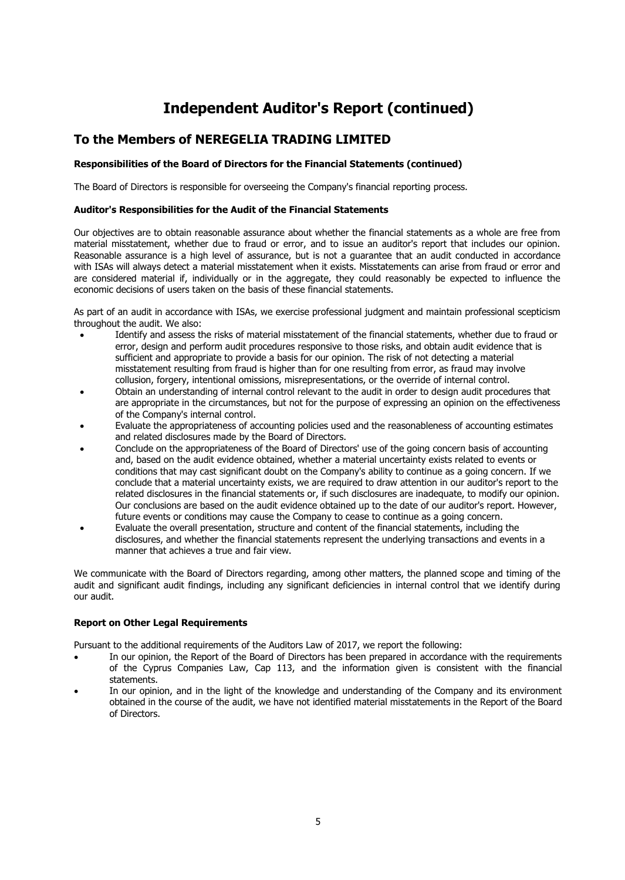## **Independent Auditor's Report (continued)**

### **To the Members of NEREGELIA TRADING LIMITED**

### **Responsibilities of the Board of Directors for the Financial Statements (continued)**

The Board of Directors is responsible for overseeing the Company's financial reporting process.

### **Auditor's Responsibilities for the Audit of the Financial Statements**

Our objectives are to obtain reasonable assurance about whether the financial statements as a whole are free from material misstatement, whether due to fraud or error, and to issue an auditor's report that includes our opinion. Reasonable assurance is a high level of assurance, but is not a guarantee that an audit conducted in accordance with ISAs will always detect a material misstatement when it exists. Misstatements can arise from fraud or error and are considered material if, individually or in the aggregate, they could reasonably be expected to influence the economic decisions of users taken on the basis of these financial statements.

As part of an audit in accordance with ISAs, we exercise professional judgment and maintain professional scepticism throughout the audit. We also:

- Identify and assess the risks of material misstatement of the financial statements, whether due to fraud or error, design and perform audit procedures responsive to those risks, and obtain audit evidence that is sufficient and appropriate to provide a basis for our opinion. The risk of not detecting a material misstatement resulting from fraud is higher than for one resulting from error, as fraud may involve collusion, forgery, intentional omissions, misrepresentations, or the override of internal control.
- Obtain an understanding of internal control relevant to the audit in order to design audit procedures that are appropriate in the circumstances, but not for the purpose of expressing an opinion on the effectiveness of the Company's internal control.
- Evaluate the appropriateness of accounting policies used and the reasonableness of accounting estimates and related disclosures made by the Board of Directors.
- Conclude on the appropriateness of the Board of Directors' use of the going concern basis of accounting and, based on the audit evidence obtained, whether a material uncertainty exists related to events or conditions that may cast significant doubt on the Company's ability to continue as a going concern. If we conclude that a material uncertainty exists, we are required to draw attention in our auditor's report to the related disclosures in the financial statements or, if such disclosures are inadequate, to modify our opinion. Our conclusions are based on the audit evidence obtained up to the date of our auditor's report. However, future events or conditions may cause the Company to cease to continue as a going concern.
- Evaluate the overall presentation, structure and content of the financial statements, including the disclosures, and whether the financial statements represent the underlying transactions and events in a manner that achieves a true and fair view.

We communicate with the Board of Directors regarding, among other matters, the planned scope and timing of the audit and significant audit findings, including any significant deficiencies in internal control that we identify during our audit.

### **Report on Other Legal Requirements**

Pursuant to the additional requirements of the Auditors Law of 2017, we report the following:

- In our opinion, the Report of the Board of Directors has been prepared in accordance with the requirements of the Cyprus Companies Law, Cap 113, and the information given is consistent with the financial statements.
- In our opinion, and in the light of the knowledge and understanding of the Company and its environment obtained in the course of the audit, we have not identified material misstatements in the Report of the Board of Directors.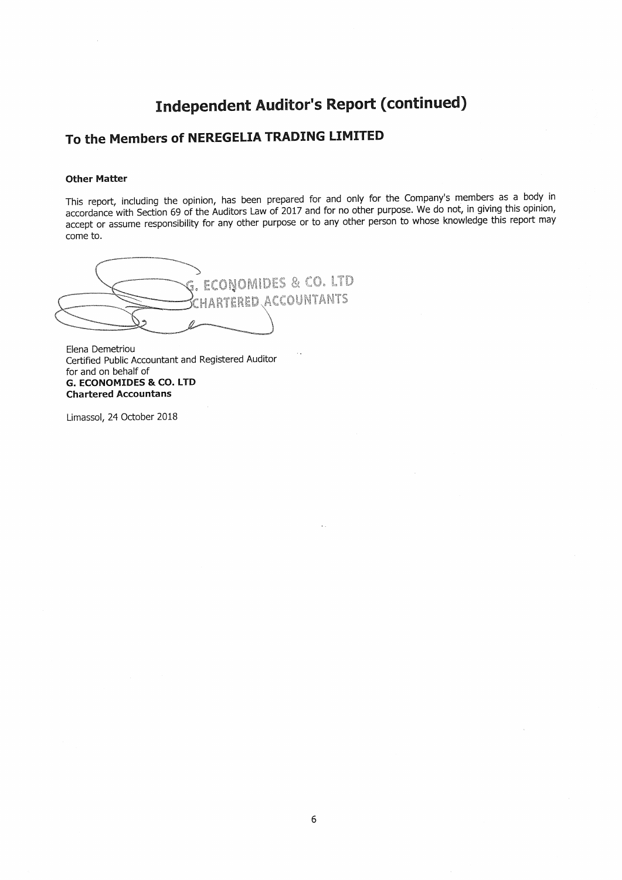## **Independent Auditor's Report (continued)**

## To the Members of NEREGELIA TRADING LIMITED

#### **Other Matter**

This report, including the opinion, has been prepared for and only for the Company's members as a body in accordance with Section 69 of the Auditors Law of 2017 and for no other purpose. We do not, in giving this opinion, accept or assume responsibility for any other purpose or to any other person to whose knowledge this report may come to.



Elena Demetriou Certified Public Accountant and Registered Auditor for and on behalf of **G. ECONOMIDES & CO. LTD Chartered Accountans** 

Limassol, 24 October 2018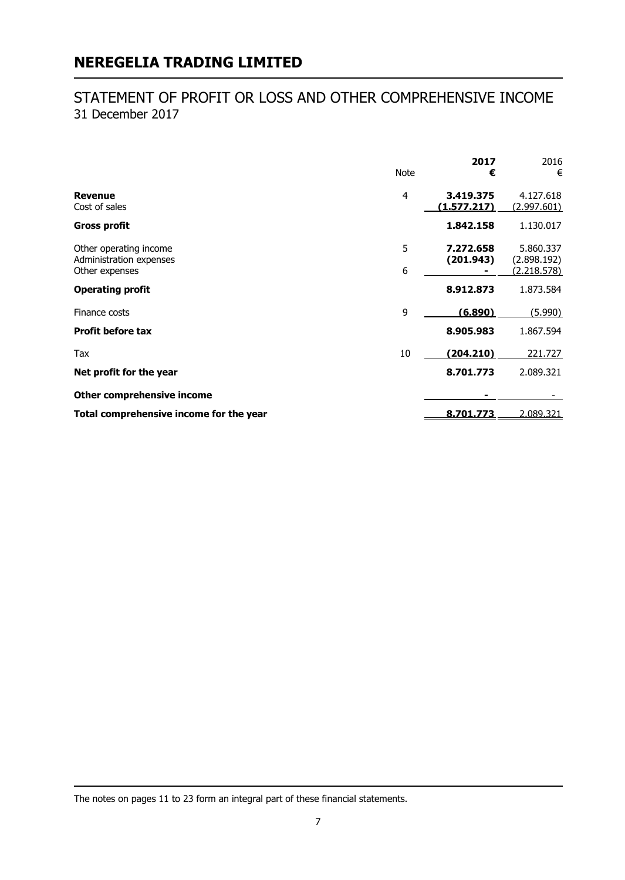### STATEMENT OF PROFIT OR LOSS AND OTHER COMPREHENSIVE INCOME 31 December 2017

|                                                                     | <b>Note</b>    | 2017<br>€                | 2016<br>€                                      |
|---------------------------------------------------------------------|----------------|--------------------------|------------------------------------------------|
| <b>Revenue</b><br>Cost of sales                                     | $\overline{4}$ | 3.419.375<br>(1.577.217) | 4.127.618<br><u>(2.997.601)</u>                |
| <b>Gross profit</b>                                                 |                | 1.842.158                | 1.130.017                                      |
| Other operating income<br>Administration expenses<br>Other expenses | 5<br>6         | 7.272.658<br>(201.943)   | 5.860.337<br>(2.898.192)<br><u>(2.218.578)</u> |
| <b>Operating profit</b>                                             |                | 8.912.873                | 1.873.584                                      |
| Finance costs                                                       | 9              | (6.890)                  | (5.990)                                        |
| <b>Profit before tax</b>                                            |                | 8.905.983                | 1.867.594                                      |
| Tax                                                                 | 10             | <u>(204.210)</u>         | 221.727                                        |
| Net profit for the year                                             |                | 8.701.773                | 2.089.321                                      |
| Other comprehensive income                                          |                |                          |                                                |
| Total comprehensive income for the year                             |                | 8.701.773                | 2.089.321                                      |

The notes on pages 11 to 23 form an integral part of these financial statements.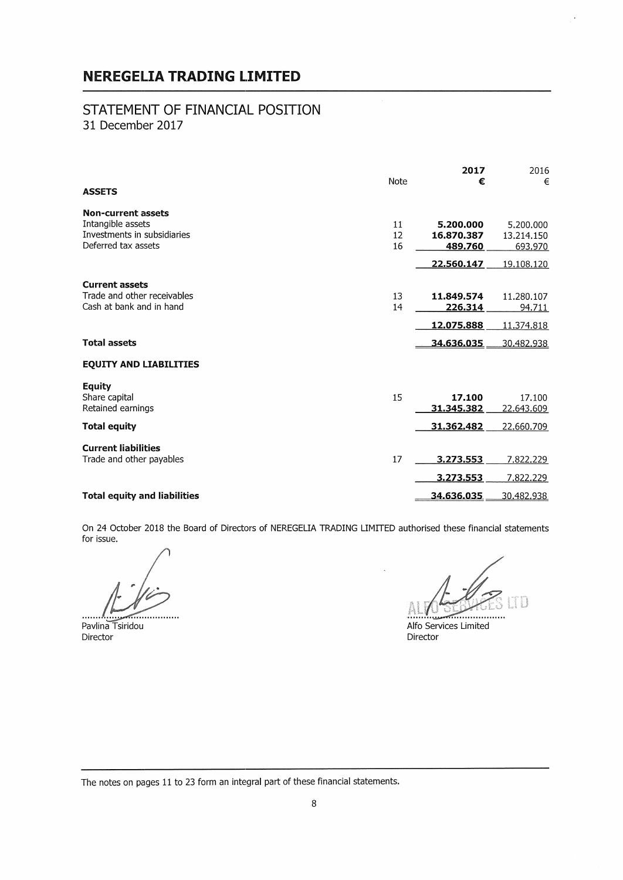### STATEMENT OF FINANCIAL POSITION 31 December 2017

|                                     | Note | 2017<br>€  | 2016<br>€  |
|-------------------------------------|------|------------|------------|
| <b>ASSETS</b>                       |      |            |            |
| <b>Non-current assets</b>           |      |            |            |
| Intangible assets                   | 11   | 5,200,000  | 5.200.000  |
| Investments in subsidiaries         | 12   | 16,870,387 | 13.214.150 |
| Deferred tax assets                 | 16   | 489.760    | 693.970    |
|                                     |      | 22.560.147 | 19.108.120 |
| <b>Current assets</b>               |      |            |            |
| Trade and other receivables         | 13   | 11.849.574 | 11.280.107 |
| Cash at bank and in hand            | 14   | 226.314    | 94.711     |
|                                     |      |            |            |
|                                     |      | 12.075.888 | 11.374.818 |
| <b>Total assets</b>                 |      | 34.636.035 | 30.482.938 |
| <b>EQUITY AND LIABILITIES</b>       |      |            |            |
| Equity                              |      |            |            |
| Share capital                       | 15   | 17.100     | 17.100     |
| Retained earnings                   |      | 31.345.382 | 22.643.609 |
| <b>Total equity</b>                 |      | 31.362.482 | 22,660,709 |
| <b>Current liabilities</b>          |      |            |            |
| Trade and other payables            | 17   | 3.273.553  | 7.822.229  |
|                                     |      |            |            |
|                                     |      | 3.273.553  | 7.822.229  |
| <b>Total equity and liabilities</b> |      | 34.636.035 | 30.482.938 |
|                                     |      |            |            |

On 24 October 2018 the Board of Directors of NEREGELIA TRADING LIMITED authorised these financial statements for issue.

Pavlina Tsiridou Director

 $\ddot{\phantom{0}}$ 

Alfo Services Limited Director

The notes on pages 11 to 23 form an integral part of these financial statements.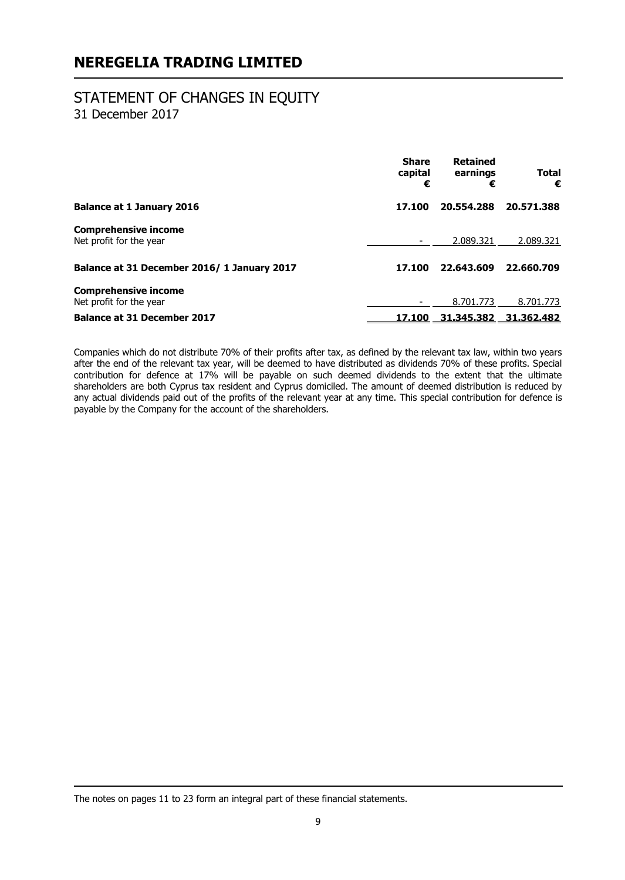# STATEMENT OF CHANGES IN EQUITY

31 December 2017

|                                                        | <b>Share</b><br>capital<br>€ | <b>Retained</b><br>earnings<br>€ | <b>Total</b><br>€ |
|--------------------------------------------------------|------------------------------|----------------------------------|-------------------|
| <b>Balance at 1 January 2016</b>                       | 17.100                       | 20.554.288                       | 20.571.388        |
| <b>Comprehensive income</b><br>Net profit for the year |                              | 2.089.321                        | 2.089.321         |
| Balance at 31 December 2016/1 January 2017             | 17.100                       | 22.643.609                       | 22.660.709        |
| <b>Comprehensive income</b><br>Net profit for the year |                              | 8.701.773                        | 8.701.773         |
| <b>Balance at 31 December 2017</b>                     | 17.100                       | 31.345.382 31.362.482            |                   |

Companies which do not distribute 70% of their profits after tax, as defined by the relevant tax law, within two years after the end of the relevant tax year, will be deemed to have distributed as dividends 70% of these profits. Special contribution for defence at 17% will be payable on such deemed dividends to the extent that the ultimate shareholders are both Cyprus tax resident and Cyprus domiciled. The amount of deemed distribution is reduced by any actual dividends paid out of the profits of the relevant year at any time. This special contribution for defence is payable by the Company for the account of the shareholders.

The notes on pages 11 to 23 form an integral part of these financial statements.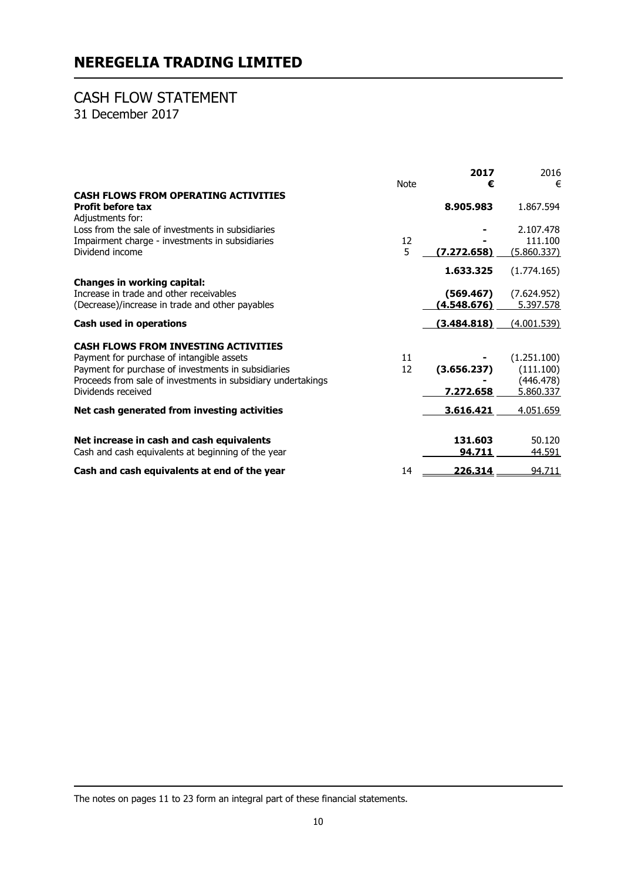### CASH FLOW STATEMENT 31 December 2017

|                                                                                                                                  | Note | 2017<br>€                | 2016<br>€                |
|----------------------------------------------------------------------------------------------------------------------------------|------|--------------------------|--------------------------|
| <b>CASH FLOWS FROM OPERATING ACTIVITIES</b><br><b>Profit before tax</b>                                                          |      | 8.905.983                | 1.867.594                |
| Adjustments for:<br>Loss from the sale of investments in subsidiaries                                                            |      |                          | 2.107.478                |
| Impairment charge - investments in subsidiaries                                                                                  | 12   |                          | 111.100                  |
| Dividend income                                                                                                                  | 5    | (7.272.658)              | (5.860.337)              |
|                                                                                                                                  |      | 1.633.325                | (1.774.165)              |
| <b>Changes in working capital:</b><br>Increase in trade and other receivables<br>(Decrease)/increase in trade and other payables |      | (569.467)<br>(4.548.676) | (7.624.952)<br>5.397.578 |
| Cash used in operations                                                                                                          |      | (3.484.818)              | <u>(4.001.539)</u>       |
| <b>CASH FLOWS FROM INVESTING ACTIVITIES</b>                                                                                      |      |                          |                          |
| Payment for purchase of intangible assets                                                                                        | 11   |                          | (1.251.100)              |
| Payment for purchase of investments in subsidiaries                                                                              | 12   | (3.656.237)              | (111.100)                |
| Proceeds from sale of investments in subsidiary undertakings<br>Dividends received                                               |      | 7.272.658                | (446.478)<br>5.860.337   |
| Net cash generated from investing activities                                                                                     |      | 3.616.421                | 4.051.659                |
| Net increase in cash and cash equivalents<br>Cash and cash equivalents at beginning of the year                                  |      | 131.603<br>94.711        | 50.120<br>44.591         |
| Cash and cash equivalents at end of the year                                                                                     | 14   | 226.314                  | 94.711                   |

The notes on pages 11 to 23 form an integral part of these financial statements.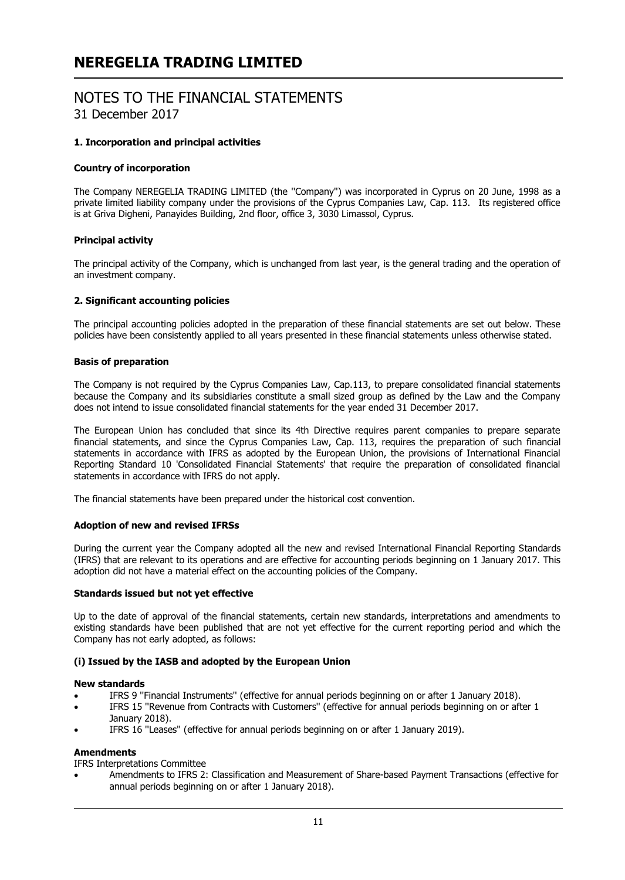### **1. Incorporation and principal activities**

### **Country of incorporation**

The Company NEREGELIA TRADING LIMITED (the ''Company'') was incorporated in Cyprus on 20 June, 1998 as a private limited liability company under the provisions of the Cyprus Companies Law, Cap. 113. Its registered office is at Griva Digheni, Panayides Building, 2nd floor, office 3, 3030 Limassol, Cyprus.

### **Principal activity**

The principal activity of the Company, which is unchanged from last year, is the general trading and the operation of an investment company.

### **2. Significant accounting policies**

The principal accounting policies adopted in the preparation of these financial statements are set out below. These policies have been consistently applied to all years presented in these financial statements unless otherwise stated.

### **Basis of preparation**

The Company is not required by the Cyprus Companies Law, Cap.113, to prepare consolidated financial statements because the Company and its subsidiaries constitute a small sized group as defined by the Law and the Company does not intend to issue consolidated financial statements for the year ended 31 December 2017.

The European Union has concluded that since its 4th Directive requires parent companies to prepare separate financial statements, and since the Cyprus Companies Law, Cap. 113, requires the preparation of such financial statements in accordance with IFRS as adopted by the European Union, the provisions of International Financial Reporting Standard 10 'Consolidated Financial Statements' that require the preparation of consolidated financial statements in accordance with IFRS do not apply.

The financial statements have been prepared under the historical cost convention.

### **Adoption of new and revised IFRSs**

During the current year the Company adopted all the new and revised International Financial Reporting Standards (IFRS) that are relevant to its operations and are effective for accounting periods beginning on 1 January 2017. This adoption did not have a material effect on the accounting policies of the Company.

### **Standards issued but not yet effective**

Up to the date of approval of the financial statements, certain new standards, interpretations and amendments to existing standards have been published that are not yet effective for the current reporting period and which the Company has not early adopted, as follows:

### **(i) Issued by the IASB and adopted by the European Union**

#### **New standards**

- IFRS 9 ''Financial Instruments'' (effective for annual periods beginning on or after 1 January 2018).
- IFRS 15 ''Revenue from Contracts with Customers'' (effective for annual periods beginning on or after 1 January 2018).
- IFRS 16 ''Leases'' (effective for annual periods beginning on or after 1 January 2019).

### **Amendments**

IFRS Interpretations Committee

• Amendments to IFRS 2: Classification and Measurement of Share-based Payment Transactions (effective for annual periods beginning on or after 1 January 2018).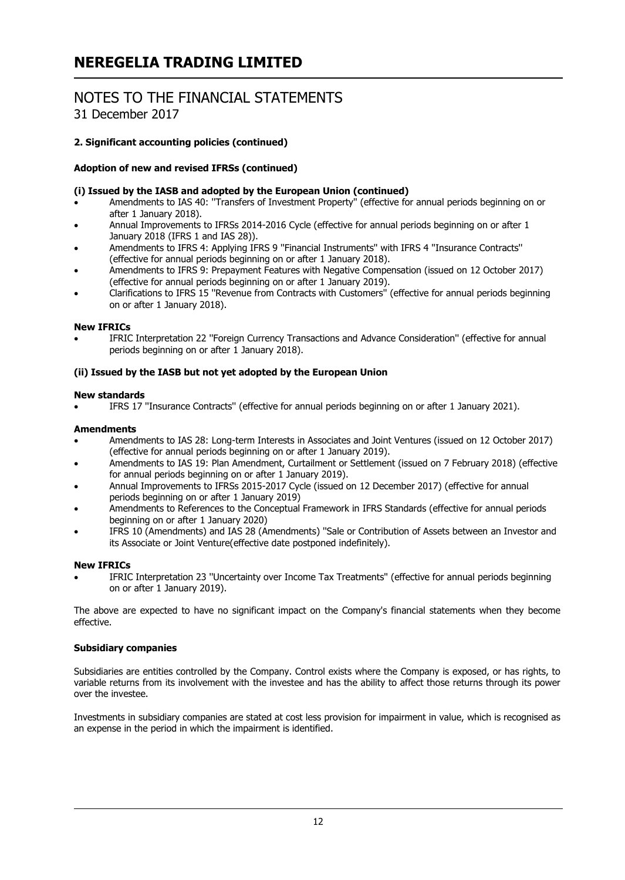## NOTES TO THE FINANCIAL STATEMENTS

31 December 2017

### **2. Significant accounting policies (continued)**

### **Adoption of new and revised IFRSs (continued)**

### **(i) Issued by the IASB and adopted by the European Union (continued)**

- Amendments to IAS 40: ''Transfers of Investment Property'' (effective for annual periods beginning on or after 1 January 2018).
- Annual Improvements to IFRSs 2014-2016 Cycle (effective for annual periods beginning on or after 1 January 2018 (IFRS 1 and IAS 28)).
- Amendments to IFRS 4: Applying IFRS 9 ''Financial Instruments'' with IFRS 4 ''Insurance Contracts'' (effective for annual periods beginning on or after 1 January 2018).
- Amendments to IFRS 9: Prepayment Features with Negative Compensation (issued on 12 October 2017) (effective for annual periods beginning on or after 1 January 2019).
- Clarifications to IFRS 15 ''Revenue from Contracts with Customers'' (effective for annual periods beginning on or after 1 January 2018).

### **New IFRICs**

• IFRIC Interpretation 22 ''Foreign Currency Transactions and Advance Consideration'' (effective for annual periods beginning on or after 1 January 2018).

### **(ii) Issued by the IASB but not yet adopted by the European Union**

### **New standards**

• IFRS 17 ''Insurance Contracts'' (effective for annual periods beginning on or after 1 January 2021).

### **Amendments**

- Amendments to IAS 28: Long-term Interests in Associates and Joint Ventures (issued on 12 October 2017) (effective for annual periods beginning on or after 1 January 2019).
- Amendments to IAS 19: Plan Amendment, Curtailment or Settlement (issued on 7 February 2018) (effective for annual periods beginning on or after 1 January 2019).
- Annual Improvements to IFRSs 2015-2017 Cycle (issued on 12 December 2017) (effective for annual periods beginning on or after 1 January 2019)
- Amendments to References to the Conceptual Framework in IFRS Standards (effective for annual periods beginning on or after 1 January 2020)
- IFRS 10 (Amendments) and IAS 28 (Amendments) ''Sale or Contribution of Assets between an Investor and its Associate or Joint Venture(effective date postponed indefinitely).

### **New IFRICs**

• IFRIC Interpretation 23 ''Uncertainty over Income Tax Treatments'' (effective for annual periods beginning on or after 1 January 2019).

The above are expected to have no significant impact on the Company's financial statements when they become effective.

### **Subsidiary companies**

Subsidiaries are entities controlled by the Company. Control exists where the Company is exposed, or has rights, to variable returns from its involvement with the investee and has the ability to affect those returns through its power over the investee.

Investments in subsidiary companies are stated at cost less provision for impairment in value, which is recognised as an expense in the period in which the impairment is identified.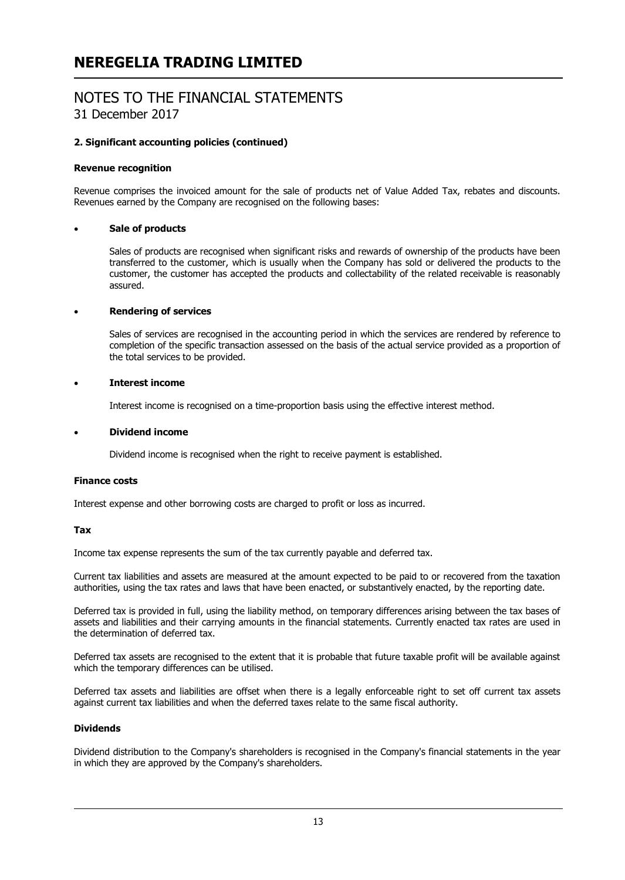### **2. Significant accounting policies (continued)**

### **Revenue recognition**

Revenue comprises the invoiced amount for the sale of products net of Value Added Tax, rebates and discounts. Revenues earned by the Company are recognised on the following bases:

### • **Sale of products**

Sales of products are recognised when significant risks and rewards of ownership of the products have been transferred to the customer, which is usually when the Company has sold or delivered the products to the customer, the customer has accepted the products and collectability of the related receivable is reasonably assured.

### • **Rendering of services**

Sales of services are recognised in the accounting period in which the services are rendered by reference to completion of the specific transaction assessed on the basis of the actual service provided as a proportion of the total services to be provided.

### • **Interest income**

Interest income is recognised on a time-proportion basis using the effective interest method.

#### • **Dividend income**

Dividend income is recognised when the right to receive payment is established.

### **Finance costs**

Interest expense and other borrowing costs are charged to profit or loss as incurred.

### **Tax**

Income tax expense represents the sum of the tax currently payable and deferred tax.

Current tax liabilities and assets are measured at the amount expected to be paid to or recovered from the taxation authorities, using the tax rates and laws that have been enacted, or substantively enacted, by the reporting date.

Deferred tax is provided in full, using the liability method, on temporary differences arising between the tax bases of assets and liabilities and their carrying amounts in the financial statements. Currently enacted tax rates are used in the determination of deferred tax.

Deferred tax assets are recognised to the extent that it is probable that future taxable profit will be available against which the temporary differences can be utilised.

Deferred tax assets and liabilities are offset when there is a legally enforceable right to set off current tax assets against current tax liabilities and when the deferred taxes relate to the same fiscal authority.

### **Dividends**

Dividend distribution to the Company's shareholders is recognised in the Company's financial statements in the year in which they are approved by the Company's shareholders.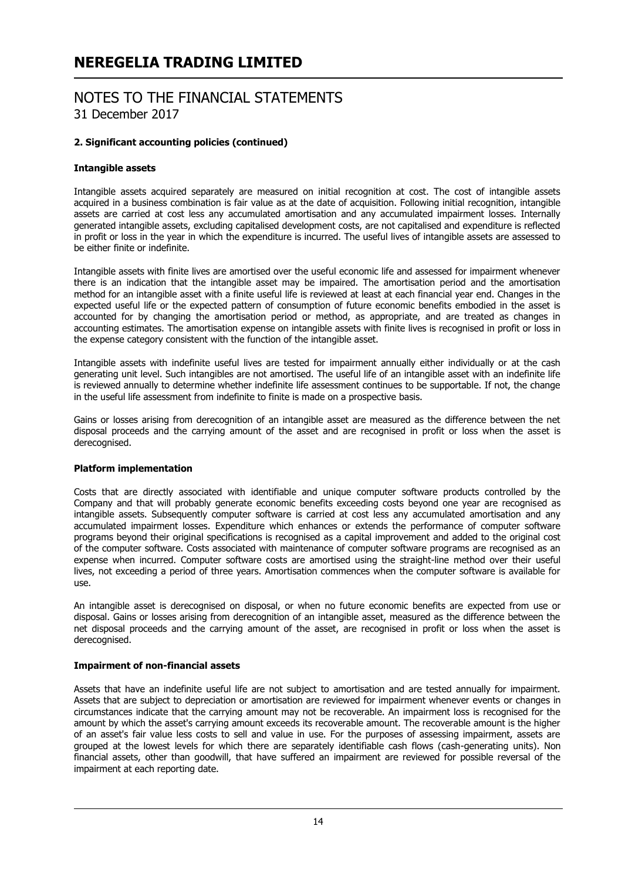### **2. Significant accounting policies (continued)**

### **Intangible assets**

Intangible assets acquired separately are measured on initial recognition at cost. The cost of intangible assets acquired in a business combination is fair value as at the date of acquisition. Following initial recognition, intangible assets are carried at cost less any accumulated amortisation and any accumulated impairment losses. Internally generated intangible assets, excluding capitalised development costs, are not capitalised and expenditure is reflected in profit or loss in the year in which the expenditure is incurred. The useful lives of intangible assets are assessed to be either finite or indefinite.

Intangible assets with finite lives are amortised over the useful economic life and assessed for impairment whenever there is an indication that the intangible asset may be impaired. The amortisation period and the amortisation method for an intangible asset with a finite useful life is reviewed at least at each financial year end. Changes in the expected useful life or the expected pattern of consumption of future economic benefits embodied in the asset is accounted for by changing the amortisation period or method, as appropriate, and are treated as changes in accounting estimates. The amortisation expense on intangible assets with finite lives is recognised in profit or loss in the expense category consistent with the function of the intangible asset.

Intangible assets with indefinite useful lives are tested for impairment annually either individually or at the cash generating unit level. Such intangibles are not amortised. The useful life of an intangible asset with an indefinite life is reviewed annually to determine whether indefinite life assessment continues to be supportable. If not, the change in the useful life assessment from indefinite to finite is made on a prospective basis.

Gains or losses arising from derecognition of an intangible asset are measured as the difference between the net disposal proceeds and the carrying amount of the asset and are recognised in profit or loss when the asset is derecognised.

### **Platform implementation**

Costs that are directly associated with identifiable and unique computer software products controlled by the Company and that will probably generate economic benefits exceeding costs beyond one year are recognised as intangible assets. Subsequently computer software is carried at cost less any accumulated amortisation and any accumulated impairment losses. Expenditure which enhances or extends the performance of computer software programs beyond their original specifications is recognised as a capital improvement and added to the original cost of the computer software. Costs associated with maintenance of computer software programs are recognised as an expense when incurred. Computer software costs are amortised using the straight-line method over their useful lives, not exceeding a period of three years. Amortisation commences when the computer software is available for use.

An intangible asset is derecognised on disposal, or when no future economic benefits are expected from use or disposal. Gains or losses arising from derecognition of an intangible asset, measured as the difference between the net disposal proceeds and the carrying amount of the asset, are recognised in profit or loss when the asset is derecognised.

### **Impairment of non-financial assets**

Assets that have an indefinite useful life are not subject to amortisation and are tested annually for impairment. Assets that are subject to depreciation or amortisation are reviewed for impairment whenever events or changes in circumstances indicate that the carrying amount may not be recoverable. An impairment loss is recognised for the amount by which the asset's carrying amount exceeds its recoverable amount. The recoverable amount is the higher of an asset's fair value less costs to sell and value in use. For the purposes of assessing impairment, assets are grouped at the lowest levels for which there are separately identifiable cash flows (cash-generating units). Non financial assets, other than goodwill, that have suffered an impairment are reviewed for possible reversal of the impairment at each reporting date.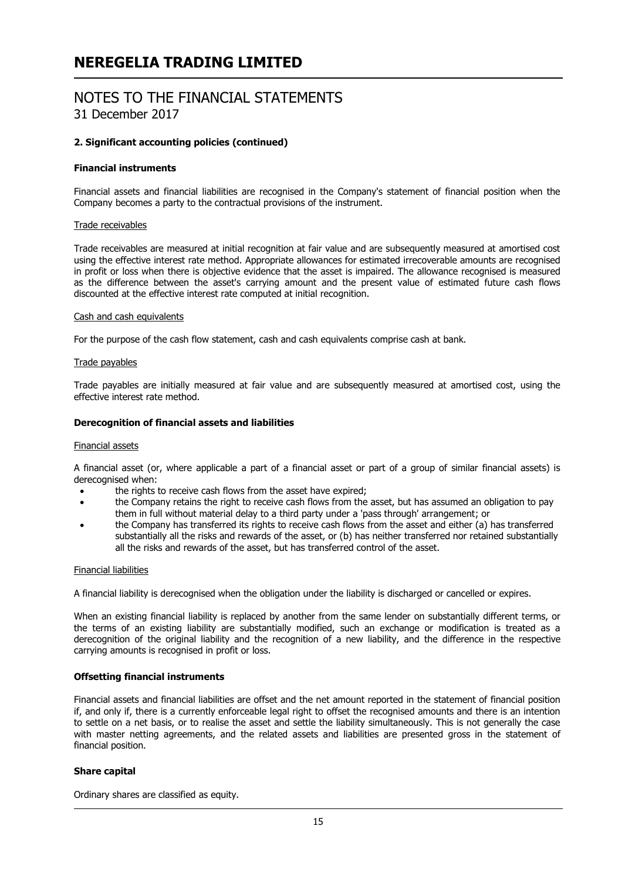### **2. Significant accounting policies (continued)**

### **Financial instruments**

Financial assets and financial liabilities are recognised in the Company's statement of financial position when the Company becomes a party to the contractual provisions of the instrument.

#### Trade receivables

Trade receivables are measured at initial recognition at fair value and are subsequently measured at amortised cost using the effective interest rate method. Appropriate allowances for estimated irrecoverable amounts are recognised in profit or loss when there is objective evidence that the asset is impaired. The allowance recognised is measured as the difference between the asset's carrying amount and the present value of estimated future cash flows discounted at the effective interest rate computed at initial recognition.

#### Cash and cash equivalents

For the purpose of the cash flow statement, cash and cash equivalents comprise cash at bank.

#### Trade payables

Trade payables are initially measured at fair value and are subsequently measured at amortised cost, using the effective interest rate method.

### **Derecognition of financial assets and liabilities**

#### Financial assets

A financial asset (or, where applicable a part of a financial asset or part of a group of similar financial assets) is derecognised when:

- the rights to receive cash flows from the asset have expired;
- the Company retains the right to receive cash flows from the asset, but has assumed an obligation to pay them in full without material delay to a third party under a 'pass through' arrangement; or
- the Company has transferred its rights to receive cash flows from the asset and either (a) has transferred substantially all the risks and rewards of the asset, or (b) has neither transferred nor retained substantially all the risks and rewards of the asset, but has transferred control of the asset.

### Financial liabilities

A financial liability is derecognised when the obligation under the liability is discharged or cancelled or expires.

When an existing financial liability is replaced by another from the same lender on substantially different terms, or the terms of an existing liability are substantially modified, such an exchange or modification is treated as a derecognition of the original liability and the recognition of a new liability, and the difference in the respective carrying amounts is recognised in profit or loss.

### **Offsetting financial instruments**

Financial assets and financial liabilities are offset and the net amount reported in the statement of financial position if, and only if, there is a currently enforceable legal right to offset the recognised amounts and there is an intention to settle on a net basis, or to realise the asset and settle the liability simultaneously. This is not generally the case with master netting agreements, and the related assets and liabilities are presented gross in the statement of financial position.

### **Share capital**

Ordinary shares are classified as equity.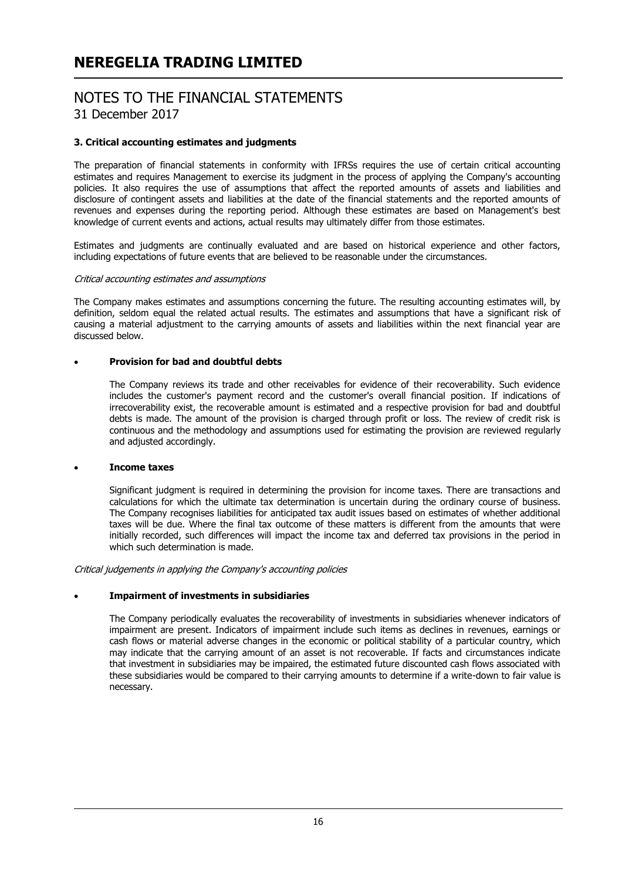### NOTES TO THE FINANCIAL STATEMENTS 31 December 2017

### **3. Critical accounting estimates and judgments**

The preparation of financial statements in conformity with IFRSs requires the use of certain critical accounting estimates and requires Management to exercise its judgment in the process of applying the Company's accounting policies. It also requires the use of assumptions that affect the reported amounts of assets and liabilities and disclosure of contingent assets and liabilities at the date of the financial statements and the reported amounts of revenues and expenses during the reporting period. Although these estimates are based on Management's best knowledge of current events and actions, actual results may ultimately differ from those estimates.

Estimates and judgments are continually evaluated and are based on historical experience and other factors, including expectations of future events that are believed to be reasonable under the circumstances.

#### Critical accounting estimates and assumptions

The Company makes estimates and assumptions concerning the future. The resulting accounting estimates will, by definition, seldom equal the related actual results. The estimates and assumptions that have a significant risk of causing a material adjustment to the carrying amounts of assets and liabilities within the next financial year are discussed below.

#### • **Provision for bad and doubtful debts**

The Company reviews its trade and other receivables for evidence of their recoverability. Such evidence includes the customer's payment record and the customer's overall financial position. If indications of irrecoverability exist, the recoverable amount is estimated and a respective provision for bad and doubtful debts is made. The amount of the provision is charged through profit or loss. The review of credit risk is continuous and the methodology and assumptions used for estimating the provision are reviewed regularly and adjusted accordingly.

#### • **Income taxes**

Significant judgment is required in determining the provision for income taxes. There are transactions and calculations for which the ultimate tax determination is uncertain during the ordinary course of business. The Company recognises liabilities for anticipated tax audit issues based on estimates of whether additional taxes will be due. Where the final tax outcome of these matters is different from the amounts that were initially recorded, such differences will impact the income tax and deferred tax provisions in the period in which such determination is made.

Critical judgements in applying the Company's accounting policies

### • **Impairment of investments in subsidiaries**

The Company periodically evaluates the recoverability of investments in subsidiaries whenever indicators of impairment are present. Indicators of impairment include such items as declines in revenues, earnings or cash flows or material adverse changes in the economic or political stability of a particular country, which may indicate that the carrying amount of an asset is not recoverable. If facts and circumstances indicate that investment in subsidiaries may be impaired, the estimated future discounted cash flows associated with these subsidiaries would be compared to their carrying amounts to determine if a write-down to fair value is necessary.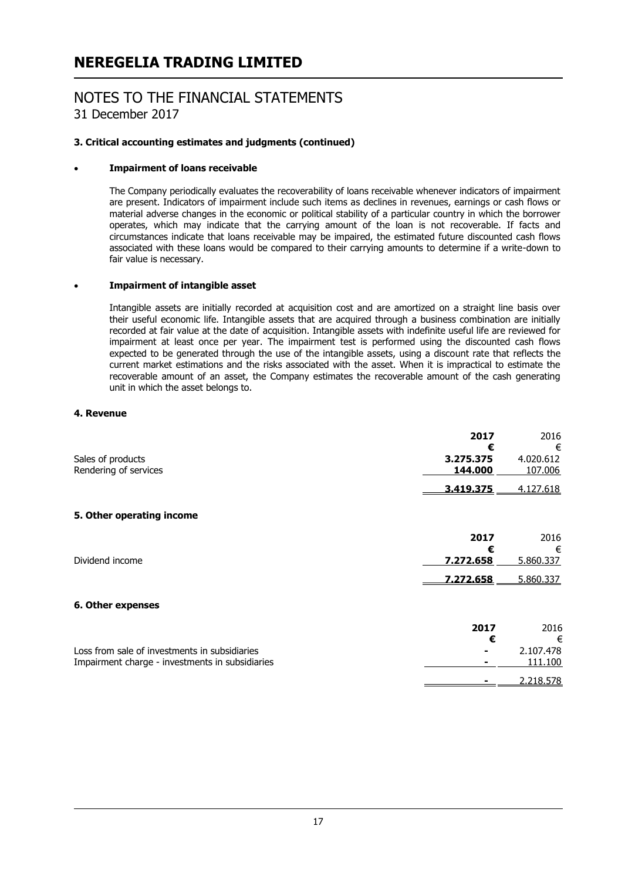### NOTES TO THE FINANCIAL STATEMENTS 31 December 2017

### **3. Critical accounting estimates and judgments (continued)**

### • **Impairment of loans receivable**

The Company periodically evaluates the recoverability of loans receivable whenever indicators of impairment are present. Indicators of impairment include such items as declines in revenues, earnings or cash flows or material adverse changes in the economic or political stability of a particular country in which the borrower operates, which may indicate that the carrying amount of the loan is not recoverable. If facts and circumstances indicate that loans receivable may be impaired, the estimated future discounted cash flows associated with these loans would be compared to their carrying amounts to determine if a write-down to fair value is necessary.

### • **Impairment of intangible asset**

Intangible assets are initially recorded at acquisition cost and are amortized on a straight line basis over their useful economic life. Intangible assets that are acquired through a business combination are initially recorded at fair value at the date of acquisition. Intangible assets with indefinite useful life are reviewed for impairment at least once per year. The impairment test is performed using the discounted cash flows expected to be generated through the use of the intangible assets, using a discount rate that reflects the current market estimations and the risks associated with the asset. When it is impractical to estimate the recoverable amount of an asset, the Company estimates the recoverable amount of the cash generating unit in which the asset belongs to.

### **4. Revenue**

|                                                 | 2017      | 2016      |
|-------------------------------------------------|-----------|-----------|
|                                                 | €         | €         |
| Sales of products                               | 3.275.375 | 4.020.612 |
| Rendering of services                           | 144.000   | 107.006   |
|                                                 | 3.419.375 | 4.127.618 |
|                                                 |           |           |
| 5. Other operating income                       |           |           |
|                                                 | 2017      | 2016      |
|                                                 | €         | €         |
| Dividend income                                 | 7.272.658 | 5.860.337 |
|                                                 | 7.272.658 | 5.860.337 |
| 6. Other expenses                               |           |           |
|                                                 | 2017      | 2016      |
|                                                 |           |           |
|                                                 | €         | €         |
| Loss from sale of investments in subsidiaries   |           | 2.107.478 |
| Impairment charge - investments in subsidiaries |           | 111.100   |
|                                                 |           | 2.218.578 |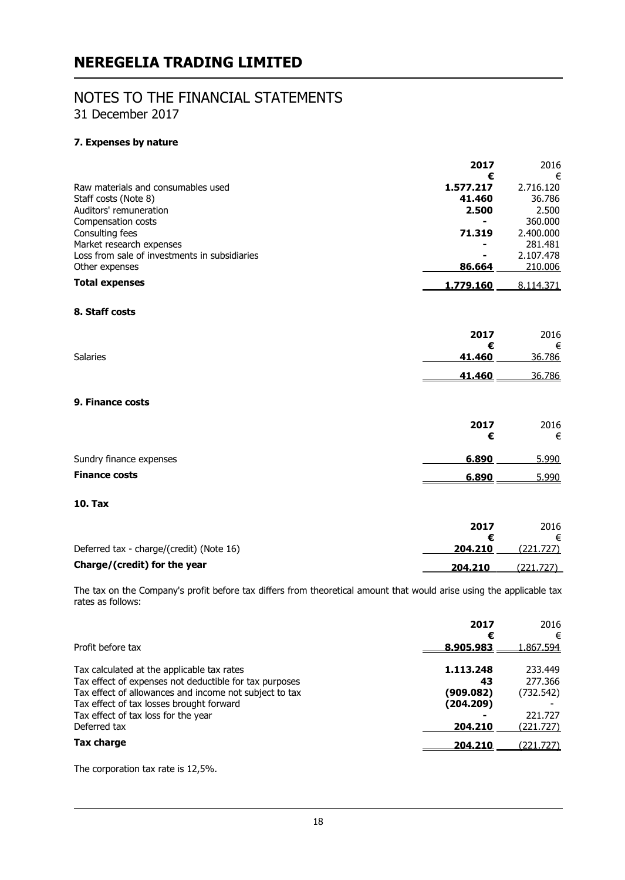### **7. Expenses by nature**

|                                               | 2017      | 2016      |
|-----------------------------------------------|-----------|-----------|
|                                               | €         | €         |
| Raw materials and consumables used            | 1.577.217 | 2.716.120 |
| Staff costs (Note 8)                          | 41.460    | 36.786    |
| Auditors' remuneration                        | 2.500     | 2.500     |
| Compensation costs                            |           | 360.000   |
| Consulting fees                               | 71.319    | 2.400.000 |
| Market research expenses                      |           | 281.481   |
| Loss from sale of investments in subsidiaries |           | 2.107.478 |
| Other expenses                                | 86.664    | 210.006   |
| <b>Total expenses</b>                         | 1.779.160 | 8.114.371 |
|                                               |           |           |
| 8. Staff costs                                |           |           |
|                                               | 2017      | 2016      |
|                                               | €         | €         |
| <b>Salaries</b>                               | 41.460    | 36.786    |
|                                               | 41.460    | 36.786    |
| 9. Finance costs                              |           |           |
|                                               | 2017      | 2016      |
|                                               | €         | €         |
| Sundry finance expenses                       | 6.890     | 5.990     |
| <b>Finance costs</b>                          | 6.890     | 5.990     |
|                                               |           |           |
| <b>10. Tax</b>                                |           |           |
|                                               | 2017      | 2016      |
|                                               | €         | €         |
| Deferred tax - charge/(credit) (Note 16)      | 204.210   | (221.727) |
| Charge/(credit) for the year                  | 204.210   | (221.727) |

The tax on the Company's profit before tax differs from theoretical amount that would arise using the applicable tax rates as follows:

|                                                        | 2017      | 2016              |
|--------------------------------------------------------|-----------|-------------------|
|                                                        | €         | €                 |
| Profit before tax                                      | 8.905.983 | <u>1.867.594 </u> |
| Tax calculated at the applicable tax rates             | 1.113.248 | 233.449           |
| Tax effect of expenses not deductible for tax purposes | 43        | 277.366           |
| Tax effect of allowances and income not subject to tax | (909.082) | (732.542)         |
| Tax effect of tax losses brought forward               | (204.209) |                   |
| Tax effect of tax loss for the year                    |           | 221.727           |
| Deferred tax                                           | 204.210   | (221.727)         |
| Tax charge                                             | 204.210   | (221.727)         |

The corporation tax rate is 12,5%.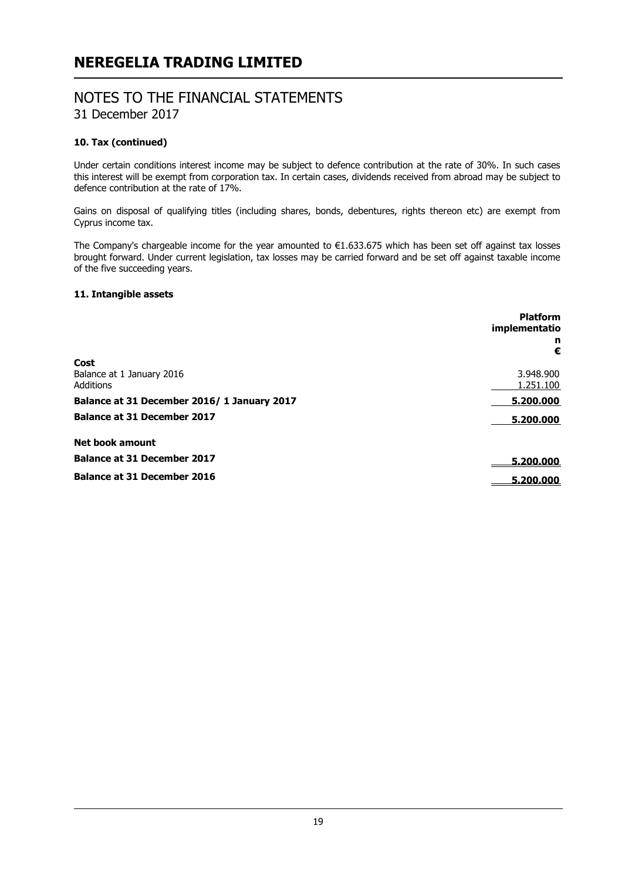### **10. Tax (continued)**

Under certain conditions interest income may be subject to defence contribution at the rate of 30%. In such cases this interest will be exempt from corporation tax. In certain cases, dividends received from abroad may be subject to defence contribution at the rate of 17%.

Gains on disposal of qualifying titles (including shares, bonds, debentures, rights thereon etc) are exempt from Cyprus income tax.

The Company's chargeable income for the year amounted to €1.633.675 which has been set off against tax losses brought forward. Under current legislation, tax losses may be carried forward and be set off against taxable income of the five succeeding years.

### **11. Intangible assets**

|                                               | <b>Platform</b><br>implementatio |
|-----------------------------------------------|----------------------------------|
|                                               | n                                |
| Cost                                          | €                                |
| Balance at 1 January 2016<br><b>Additions</b> | 3.948.900<br>1.251.100           |
| Balance at 31 December 2016/1 January 2017    | 5.200.000                        |
| <b>Balance at 31 December 2017</b>            | 5.200.000                        |
| <b>Net book amount</b>                        |                                  |
| <b>Balance at 31 December 2017</b>            | 5,200,000                        |
| <b>Balance at 31 December 2016</b>            | 5.200.000                        |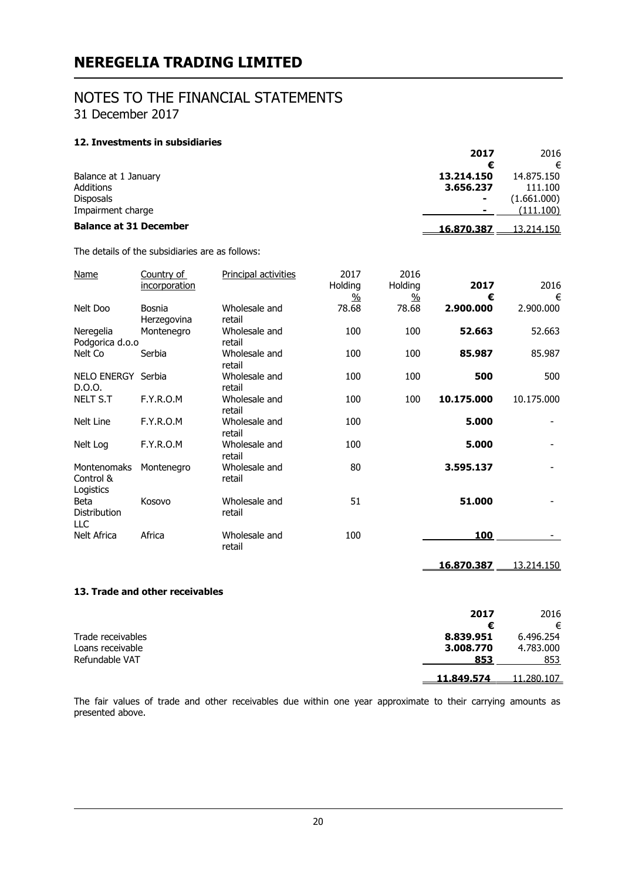### **12. Investments in subsidiaries**

|                               | 2017       | 2016        |
|-------------------------------|------------|-------------|
|                               | €          | €           |
| Balance at 1 January          | 13.214.150 | 14.875.150  |
| <b>Additions</b>              | 3.656.237  | 111.100     |
| <b>Disposals</b>              |            | (1.661.000) |
| Impairment charge             |            | (111.100)   |
| <b>Balance at 31 December</b> | 16.870.387 | 13.214.150  |
|                               |            |             |

The details of the subsidiaries are as follows:

| <b>Name</b>                                  | Country of<br>incorporation | Principal activities    | 2017<br>Holding<br>$\frac{0}{0}$ | 2016<br>Holding<br>$\frac{0}{0}$ | 2017<br>€  | 2016<br>€         |
|----------------------------------------------|-----------------------------|-------------------------|----------------------------------|----------------------------------|------------|-------------------|
| Nelt Doo                                     | Bosnia<br>Herzegovina       | Wholesale and<br>retail | 78.68                            | 78.68                            | 2.900.000  | 2.900.000         |
| Neregelia<br>Podgorica d.o.o                 | Montenegro                  | Wholesale and<br>retail | 100                              | 100                              | 52.663     | 52.663            |
| Nelt Co                                      | Serbia                      | Wholesale and<br>retail | 100                              | 100                              | 85.987     | 85.987            |
| NELO ENERGY Serbia<br>D.O.O.                 |                             | Wholesale and<br>retail | 100                              | 100                              | 500        | 500               |
| <b>NELT S.T</b>                              | F.Y.R.O.M                   | Wholesale and<br>retail | 100                              | 100                              | 10.175.000 | 10.175.000        |
| Nelt Line                                    | F.Y.R.O.M                   | Wholesale and<br>retail | 100                              |                                  | 5.000      |                   |
| Nelt Log                                     | F.Y.R.O.M                   | Wholesale and<br>retail | 100                              |                                  | 5.000      |                   |
| <b>Montenomaks</b><br>Control &<br>Logistics | Montenegro                  | Wholesale and<br>retail | 80                               |                                  | 3.595.137  |                   |
| Beta<br><b>Distribution</b><br>ЦC            | Kosovo                      | Wholesale and<br>retail | 51                               |                                  | 51.000     |                   |
| Nelt Africa                                  | Africa                      | Wholesale and<br>retail | 100                              |                                  | <b>100</b> |                   |
|                                              |                             |                         |                                  |                                  | 16,870,387 | <u>13.214.150</u> |

### **13. Trade and other receivables**

|                   | 2017       | 2016      |
|-------------------|------------|-----------|
|                   | €          | €         |
| Trade receivables | 8.839.951  | 6.496.254 |
| Loans receivable  | 3.008.770  | 4.783.000 |
| Refundable VAT    | 853        | 853       |
|                   | 11.849.574 | 280.107   |

The fair values of trade and other receivables due within one year approximate to their carrying amounts as presented above.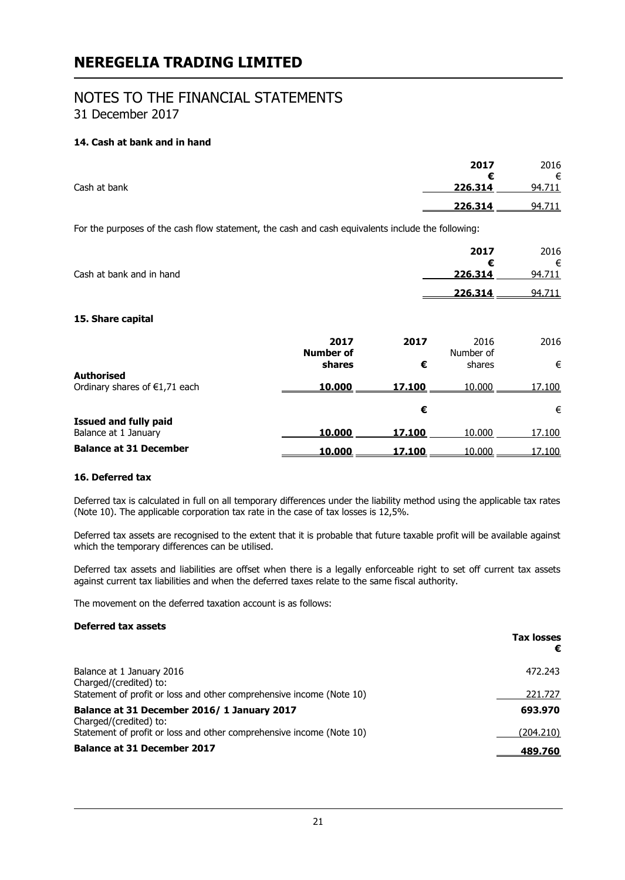### NOTES TO THE FINANCIAL STATEMENTS 31 December 2017

### **14. Cash at bank and in hand**

|              | 2017    | 2016   |
|--------------|---------|--------|
|              | €       | €      |
| Cash at bank | 226.314 | 94.711 |
|              | 226.314 | 94.711 |

For the purposes of the cash flow statement, the cash and cash equivalents include the following:

|                          | 2017    | 2016   |
|--------------------------|---------|--------|
|                          |         | €      |
| Cash at bank and in hand | 226.314 | 94.711 |
|                          | 226.314 | 94.711 |

#### **15. Share capital**

|                                                      | 2017<br><b>Number of</b><br>shares | 2017<br>€     | 2016<br>Number of<br>shares | 2016<br>€ |
|------------------------------------------------------|------------------------------------|---------------|-----------------------------|-----------|
| <b>Authorised</b><br>Ordinary shares of $E1,71$ each | 10.000                             | <u>17.100</u> | 10.000                      | 17.100    |
|                                                      |                                    | €             |                             | €         |
| <b>Issued and fully paid</b><br>Balance at 1 January | 10,000                             | 17.100        | 10.000                      | 17.100    |
| <b>Balance at 31 December</b>                        | 10,000                             | 17.100        | 10.000                      | 17.100    |

### **16. Deferred tax**

Deferred tax is calculated in full on all temporary differences under the liability method using the applicable tax rates (Note 10). The applicable corporation tax rate in the case of tax losses is 12,5%.

Deferred tax assets are recognised to the extent that it is probable that future taxable profit will be available against which the temporary differences can be utilised.

Deferred tax assets and liabilities are offset when there is a legally enforceable right to set off current tax assets against current tax liabilities and when the deferred taxes relate to the same fiscal authority.

The movement on the deferred taxation account is as follows:

#### **Deferred tax assets**

|                                                                      | <b>Tax losses</b><br>€ |
|----------------------------------------------------------------------|------------------------|
| Balance at 1 January 2016<br>Charged/(credited) to:                  | 472.243                |
| Statement of profit or loss and other comprehensive income (Note 10) | 221,727                |
| Balance at 31 December 2016/1 January 2017<br>Charged/(credited) to: | 693.970                |
| Statement of profit or loss and other comprehensive income (Note 10) | (204.210)              |
| <b>Balance at 31 December 2017</b>                                   | 489.760                |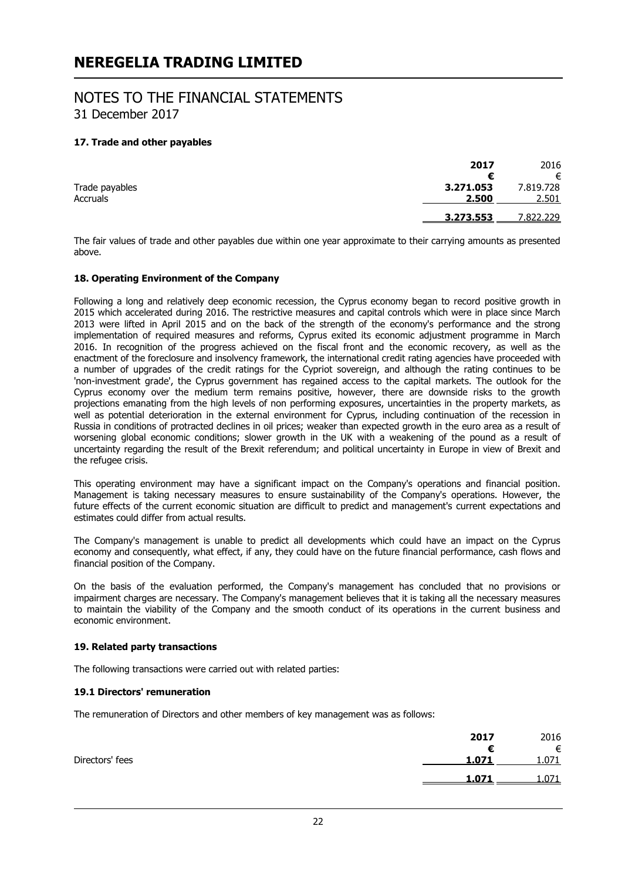### **17. Trade and other payables**

|                 | 2017      | 2016      |
|-----------------|-----------|-----------|
|                 | €         | €         |
| Trade payables  | 3.271.053 | 7.819.728 |
| <b>Accruals</b> | 2.500     | 2.501     |
|                 | 3.273.553 | 7.822.229 |
|                 |           |           |

The fair values of trade and other payables due within one year approximate to their carrying amounts as presented above.

### **18. Operating Environment of the Company**

Following a long and relatively deep economic recession, the Cyprus economy began to record positive growth in 2015 which accelerated during 2016. The restrictive measures and capital controls which were in place since March 2013 were lifted in April 2015 and on the back of the strength of the economy's performance and the strong implementation of required measures and reforms, Cyprus exited its economic adjustment programme in March 2016. In recognition of the progress achieved on the fiscal front and the economic recovery, as well as the enactment of the foreclosure and insolvency framework, the international credit rating agencies have proceeded with a number of upgrades of the credit ratings for the Cypriot sovereign, and although the rating continues to be 'non-investment grade', the Cyprus government has regained access to the capital markets. The outlook for the Cyprus economy over the medium term remains positive, however, there are downside risks to the growth projections emanating from the high levels of non performing exposures, uncertainties in the property markets, as well as potential deterioration in the external environment for Cyprus, including continuation of the recession in Russia in conditions of protracted declines in oil prices; weaker than expected growth in the euro area as a result of worsening global economic conditions; slower growth in the UK with a weakening of the pound as a result of uncertainty regarding the result of the Brexit referendum; and political uncertainty in Europe in view of Brexit and the refugee crisis.

This operating environment may have a significant impact on the Company's operations and financial position. Management is taking necessary measures to ensure sustainability of the Company's operations. However, the future effects of the current economic situation are difficult to predict and management's current expectations and estimates could differ from actual results.

The Company's management is unable to predict all developments which could have an impact on the Cyprus economy and consequently, what effect, if any, they could have on the future financial performance, cash flows and financial position of the Company.

On the basis of the evaluation performed, the Company's management has concluded that no provisions or impairment charges are necessary. The Company's management believes that it is taking all the necessary measures to maintain the viability of the Company and the smooth conduct of its operations in the current business and economic environment.

### **19. Related party transactions**

The following transactions were carried out with related parties:

### **19.1 Directors' remuneration**

The remuneration of Directors and other members of key management was as follows:

|                 | 2017  | 2016  |
|-----------------|-------|-------|
|                 | €     | €     |
| Directors' fees | 1.071 | 1.071 |
|                 | 1.071 | L.071 |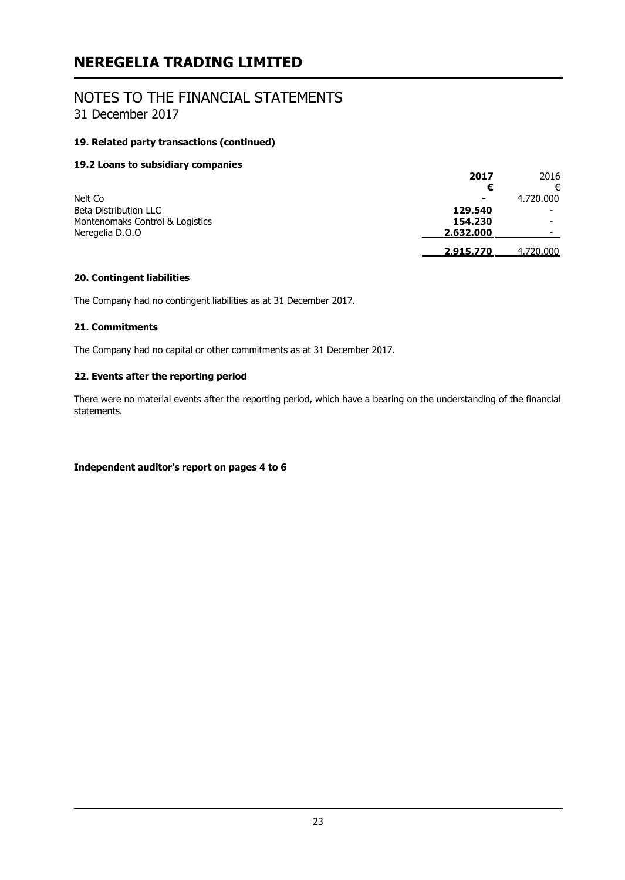### NOTES TO THE FINANCIAL STATEMENTS 31 December 2017

### **19. Related party transactions (continued)**

### **19.2 Loans to subsidiary companies**

|                                 | 2017      | 2016                     |
|---------------------------------|-----------|--------------------------|
|                                 | €         | €                        |
| Nelt Co                         |           | 4.720.000                |
| Beta Distribution LLC           | 129.540   | $\overline{\phantom{0}}$ |
| Montenomaks Control & Logistics | 154.230   | -                        |
| Neregelia D.O.O                 | 2.632.000 | $\overline{\phantom{0}}$ |
|                                 | 2.915.770 | 4.720.000                |

### **20. Contingent liabilities**

The Company had no contingent liabilities as at 31 December 2017.

### **21. Commitments**

The Company had no capital or other commitments as at 31 December 2017.

### **22. Events after the reporting period**

There were no material events after the reporting period, which have a bearing on the understanding of the financial statements.

### **Independent auditor's report on pages 4 to 6**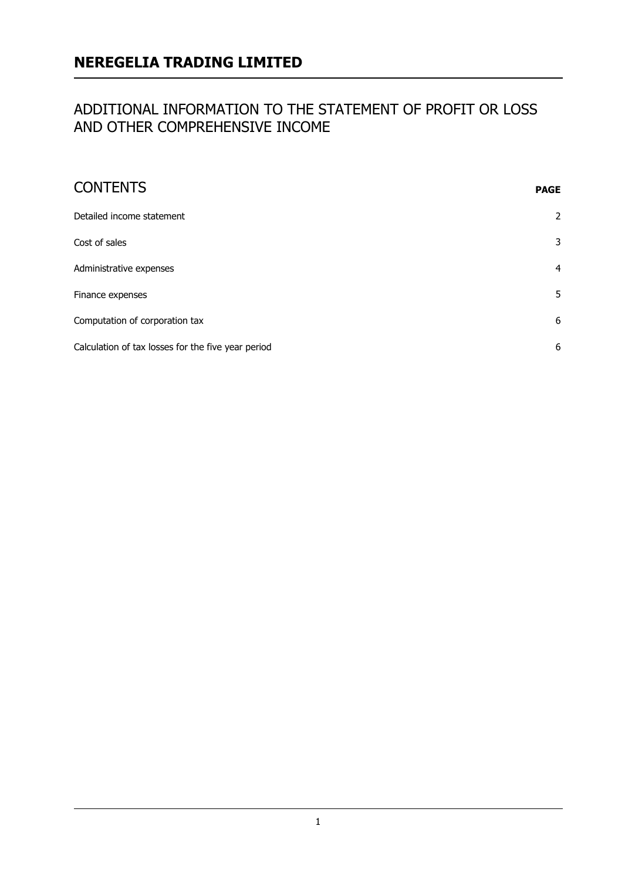## ADDITIONAL INFORMATION TO THE STATEMENT OF PROFIT OR LOSS AND OTHER COMPREHENSIVE INCOME

| <b>CONTENTS</b>                                    | <b>PAGE</b>    |
|----------------------------------------------------|----------------|
| Detailed income statement                          | $\overline{2}$ |
| Cost of sales                                      | 3              |
| Administrative expenses                            | $\overline{4}$ |
| Finance expenses                                   | 5              |
| Computation of corporation tax                     | 6              |
| Calculation of tax losses for the five year period | 6              |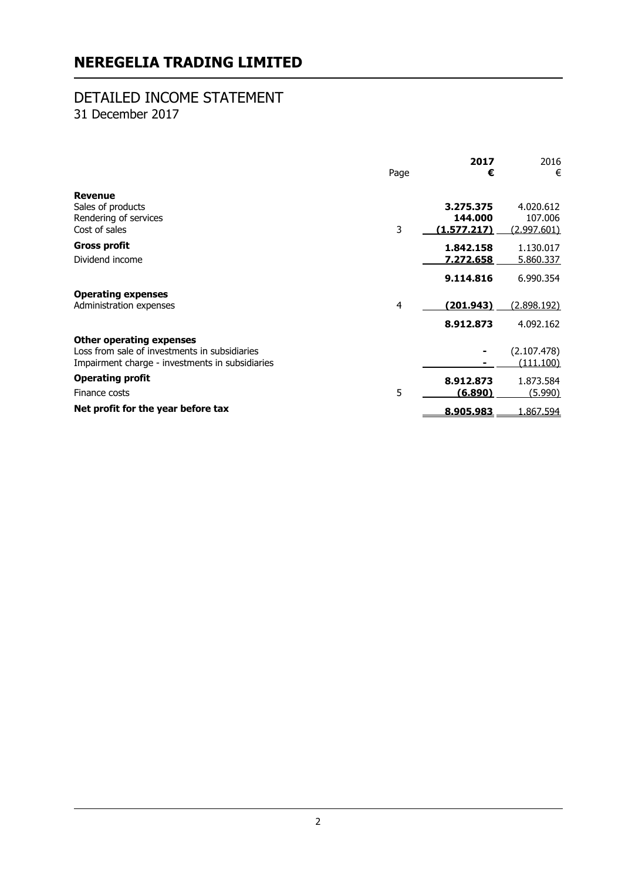## DETAILED INCOME STATEMENT

31 December 2017

|                                                                                                  | Page | 2017<br>€                           | 2016<br>€                                  |
|--------------------------------------------------------------------------------------------------|------|-------------------------------------|--------------------------------------------|
| <b>Revenue</b><br>Sales of products<br>Rendering of services<br>Cost of sales                    | 3    | 3.275.375<br>144.000<br>(1.577.217) | 4.020.612<br>107.006<br><u>(2.997.601)</u> |
| Gross profit<br>Dividend income                                                                  |      | 1.842.158<br>7.272.658              | 1.130.017<br>5.860.337                     |
| <b>Operating expenses</b><br>Administration expenses                                             | 4    | 9.114.816<br><u>(201.943)</u>       | 6.990.354<br><u>(2.898.192)</u>            |
| <b>Other operating expenses</b>                                                                  |      | 8.912.873                           | 4.092.162                                  |
| Loss from sale of investments in subsidiaries<br>Impairment charge - investments in subsidiaries |      |                                     | (2.107.478)<br><u>(111.100)</u>            |
| <b>Operating profit</b><br>Finance costs                                                         | 5    | 8.912.873<br>(6.890)                | 1.873.584<br>(5.990)                       |
| Net profit for the year before tax                                                               |      | 8.905.983                           | 1.867.594                                  |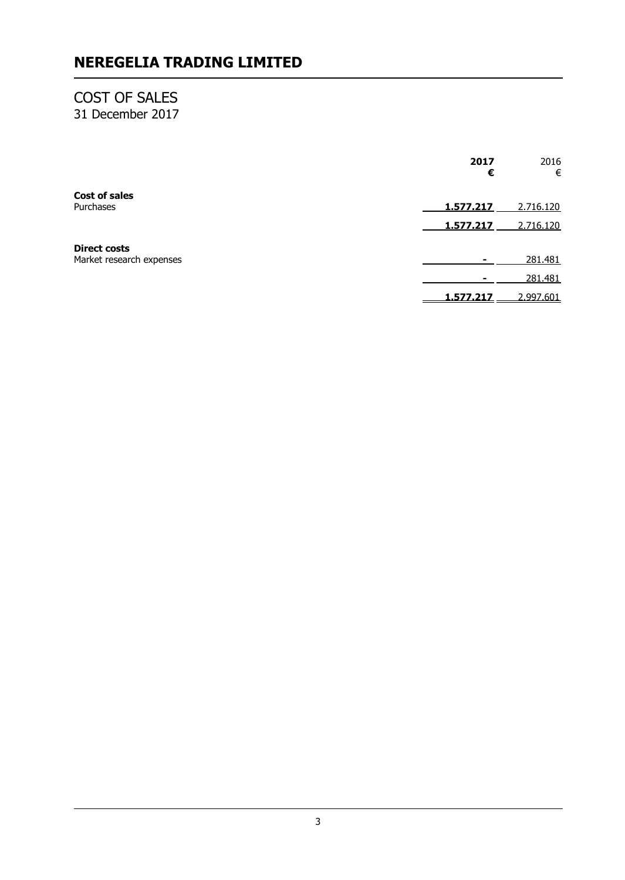### COST OF SALES 31 December 2017

|                                                 | 2017<br>€ | 2016<br>€ |
|-------------------------------------------------|-----------|-----------|
| <b>Cost of sales</b><br>Purchases               | 1.577.217 | 2.716.120 |
|                                                 | 1.577.217 | 2.716.120 |
| <b>Direct costs</b><br>Market research expenses |           | 281.481   |
|                                                 |           | 281.481   |
|                                                 | 1.577.217 | 2.997.601 |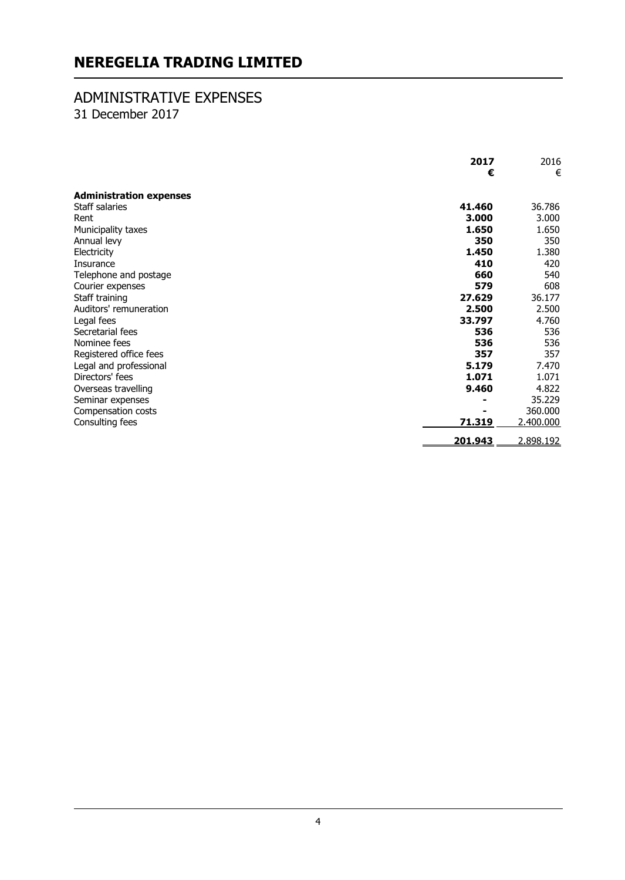## ADMINISTRATIVE EXPENSES

31 December 2017

| 2017                            | 2016      |
|---------------------------------|-----------|
| €                               | €         |
| <b>Administration expenses</b>  |           |
| Staff salaries<br>41.460        | 36.786    |
| Rent<br>3.000                   | 3.000     |
| 1.650<br>Municipality taxes     | 1.650     |
| Annual levy<br>350              | 350       |
| 1.450<br>Electricity            | 1.380     |
| 410<br>Insurance                | 420       |
| 660<br>Telephone and postage    | 540       |
| 579<br>Courier expenses         | 608       |
| Staff training<br>27.629        | 36.177    |
| Auditors' remuneration<br>2.500 | 2.500     |
| Legal fees<br>33.797            | 4.760     |
| 536<br>Secretarial fees         | 536       |
| Nominee fees<br>536             | 536       |
| Registered office fees<br>357   | 357       |
| Legal and professional<br>5.179 | 7.470     |
| Directors' fees<br>1.071        | 1.071     |
| 9.460<br>Overseas travelling    | 4.822     |
| Seminar expenses                | 35.229    |
| Compensation costs              | 360.000   |
| Consulting fees<br>71.319       | 2.400.000 |
| 201.943                         | 2.898.192 |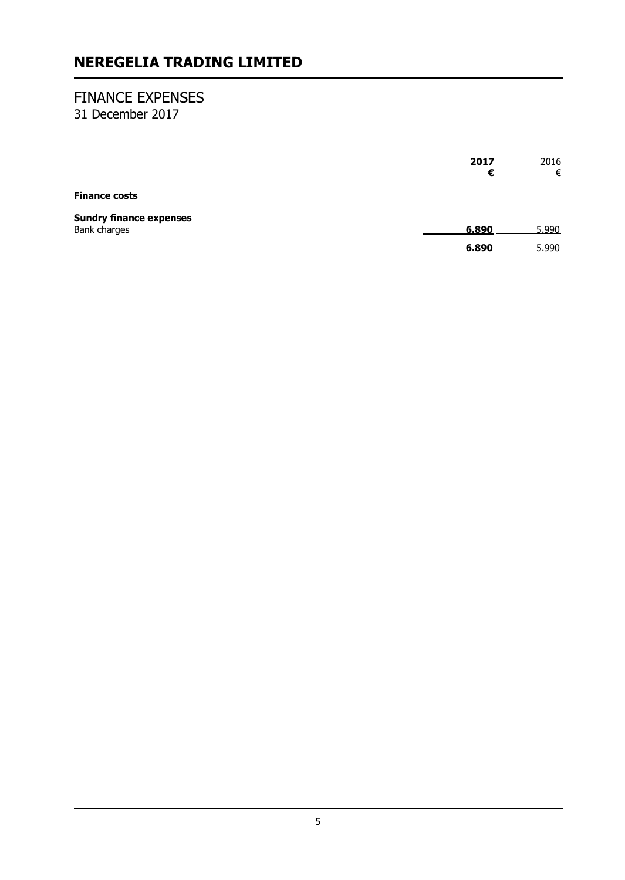### FINANCE EXPENSES

31 December 2017

|                                                | 2017<br>€ | 2016<br>€ |
|------------------------------------------------|-----------|-----------|
| <b>Finance costs</b>                           |           |           |
| <b>Sundry finance expenses</b><br>Bank charges | 6.890     | 5.990     |
|                                                | 6.890     | 5.990     |